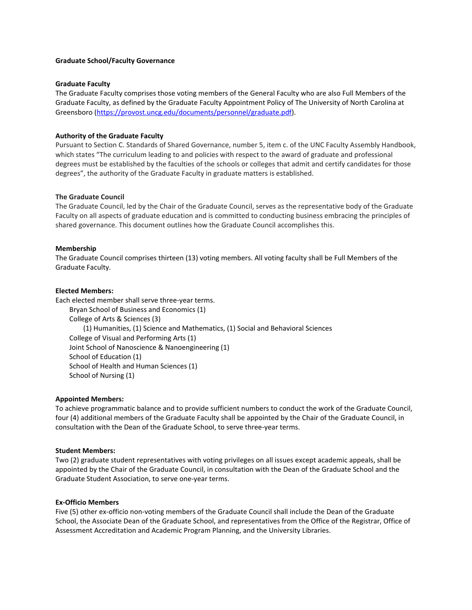### **Graduate School/Faculty Governance**

### **Graduate Faculty**

The Graduate Faculty comprises those voting members of the General Faculty who are also Full Members of the Graduate Faculty, as defined by the Graduate Faculty Appointment Policy of The University of North Carolina at Greensboro (https://provost.uncg.edu/documents/personnel/graduate.pdf).

# **Authority of the Graduate Faculty**

Pursuant to Section C. Standards of Shared Governance, number 5, item c. of the UNC Faculty Assembly Handbook, which states "The curriculum leading to and policies with respect to the award of graduate and professional degrees must be established by the faculties of the schools or colleges that admit and certify candidates for those degrees", the authority of the Graduate Faculty in graduate matters is established.

### **The Graduate Council**

The Graduate Council, led by the Chair of the Graduate Council, serves as the representative body of the Graduate Faculty on all aspects of graduate education and is committed to conducting business embracing the principles of shared governance. This document outlines how the Graduate Council accomplishes this.

### **Membership**

The Graduate Council comprises thirteen (13) voting members. All voting faculty shall be Full Members of the Graduate Faculty.

### **Elected Members:**

Each elected member shall serve three-year terms. Bryan School of Business and Economics (1) College of Arts & Sciences (3) (1) Humanities, (1) Science and Mathematics, (1) Social and Behavioral Sciences College of Visual and Performing Arts (1) Joint School of Nanoscience & Nanoengineering (1) School of Education (1) School of Health and Human Sciences (1) School of Nursing (1)

### **Appointed Members:**

To achieve programmatic balance and to provide sufficient numbers to conduct the work of the Graduate Council, four (4) additional members of the Graduate Faculty shall be appointed by the Chair of the Graduate Council, in consultation with the Dean of the Graduate School, to serve three-year terms.

### **Student Members:**

Two (2) graduate student representatives with voting privileges on all issues except academic appeals, shall be appointed by the Chair of the Graduate Council, in consultation with the Dean of the Graduate School and the Graduate Student Association, to serve one-year terms.

### **Ex-Officio Members**

Five (5) other ex-officio non-voting members of the Graduate Council shall include the Dean of the Graduate School, the Associate Dean of the Graduate School, and representatives from the Office of the Registrar, Office of Assessment Accreditation and Academic Program Planning, and the University Libraries.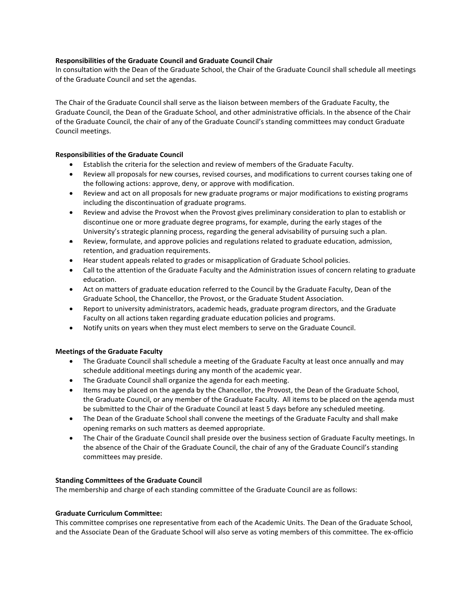## **Responsibilities of the Graduate Council and Graduate Council Chair**

In consultation with the Dean of the Graduate School, the Chair of the Graduate Council shall schedule all meetings of the Graduate Council and set the agendas.

The Chair of the Graduate Council shall serve as the liaison between members of the Graduate Faculty, the Graduate Council, the Dean of the Graduate School, and other administrative officials. In the absence of the Chair of the Graduate Council, the chair of any of the Graduate Council's standing committees may conduct Graduate Council meetings.

## **Responsibilities of the Graduate Council**

- Establish the criteria for the selection and review of members of the Graduate Faculty.
- Review all proposals for new courses, revised courses, and modifications to current courses taking one of the following actions: approve, deny, or approve with modification.
- Review and act on all proposals for new graduate programs or major modifications to existing programs including the discontinuation of graduate programs.
- Review and advise the Provost when the Provost gives preliminary consideration to plan to establish or discontinue one or more graduate degree programs, for example, during the early stages of the University's strategic planning process, regarding the general advisability of pursuing such a plan.
- Review, formulate, and approve policies and regulations related to graduate education, admission, retention, and graduation requirements.
- Hear student appeals related to grades or misapplication of Graduate School policies.
- Call to the attention of the Graduate Faculty and the Administration issues of concern relating to graduate education.
- Act on matters of graduate education referred to the Council by the Graduate Faculty, Dean of the Graduate School, the Chancellor, the Provost, or the Graduate Student Association.
- Report to university administrators, academic heads, graduate program directors, and the Graduate Faculty on all actions taken regarding graduate education policies and programs.
- Notify units on years when they must elect members to serve on the Graduate Council.

# **Meetings of the Graduate Faculty**

- The Graduate Council shall schedule a meeting of the Graduate Faculty at least once annually and may schedule additional meetings during any month of the academic year.
- The Graduate Council shall organize the agenda for each meeting.
- Items may be placed on the agenda by the Chancellor, the Provost, the Dean of the Graduate School, the Graduate Council, or any member of the Graduate Faculty. All items to be placed on the agenda must be submitted to the Chair of the Graduate Council at least 5 days before any scheduled meeting.
- The Dean of the Graduate School shall convene the meetings of the Graduate Faculty and shall make opening remarks on such matters as deemed appropriate.
- The Chair of the Graduate Council shall preside over the business section of Graduate Faculty meetings. In the absence of the Chair of the Graduate Council, the chair of any of the Graduate Council's standing committees may preside.

### **Standing Committees of the Graduate Council**

The membership and charge of each standing committee of the Graduate Council are as follows:

### **Graduate Curriculum Committee:**

This committee comprises one representative from each of the Academic Units. The Dean of the Graduate School, and the Associate Dean of the Graduate School will also serve as voting members of this committee. The ex-officio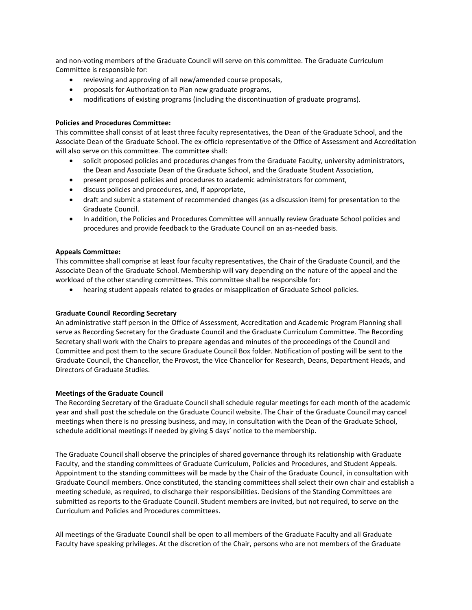and non-voting members of the Graduate Council will serve on this committee. The Graduate Curriculum Committee is responsible for:

- reviewing and approving of all new/amended course proposals,
- proposals for Authorization to Plan new graduate programs,
- modifications of existing programs (including the discontinuation of graduate programs).

## **Policies and Procedures Committee:**

This committee shall consist of at least three faculty representatives, the Dean of the Graduate School, and the Associate Dean of the Graduate School. The ex-officio representative of the Office of Assessment and Accreditation will also serve on this committee. The committee shall:

- solicit proposed policies and procedures changes from the Graduate Faculty, university administrators, the Dean and Associate Dean of the Graduate School, and the Graduate Student Association,
- present proposed policies and procedures to academic administrators for comment,
- discuss policies and procedures, and, if appropriate,
- draft and submit a statement of recommended changes (as a discussion item) for presentation to the Graduate Council.
- In addition, the Policies and Procedures Committee will annually review Graduate School policies and procedures and provide feedback to the Graduate Council on an as-needed basis.

### **Appeals Committee:**

This committee shall comprise at least four faculty representatives, the Chair of the Graduate Council, and the Associate Dean of the Graduate School. Membership will vary depending on the nature of the appeal and the workload of the other standing committees. This committee shall be responsible for:

• hearing student appeals related to grades or misapplication of Graduate School policies.

### **Graduate Council Recording Secretary**

An administrative staff person in the Office of Assessment, Accreditation and Academic Program Planning shall serve as Recording Secretary for the Graduate Council and the Graduate Curriculum Committee. The Recording Secretary shall work with the Chairs to prepare agendas and minutes of the proceedings of the Council and Committee and post them to the secure Graduate Council Box folder. Notification of posting will be sent to the Graduate Council, the Chancellor, the Provost, the Vice Chancellor for Research, Deans, Department Heads, and Directors of Graduate Studies.

### **Meetings of the Graduate Council**

The Recording Secretary of the Graduate Council shall schedule regular meetings for each month of the academic year and shall post the schedule on the Graduate Council website. The Chair of the Graduate Council may cancel meetings when there is no pressing business, and may, in consultation with the Dean of the Graduate School, schedule additional meetings if needed by giving 5 days' notice to the membership.

The Graduate Council shall observe the principles of shared governance through its relationship with Graduate Faculty, and the standing committees of Graduate Curriculum, Policies and Procedures, and Student Appeals. Appointment to the standing committees will be made by the Chair of the Graduate Council, in consultation with Graduate Council members. Once constituted, the standing committees shall select their own chair and establish a meeting schedule, as required, to discharge their responsibilities. Decisions of the Standing Committees are submitted as reports to the Graduate Council. Student members are invited, but not required, to serve on the Curriculum and Policies and Procedures committees.

All meetings of the Graduate Council shall be open to all members of the Graduate Faculty and all Graduate Faculty have speaking privileges. At the discretion of the Chair, persons who are not members of the Graduate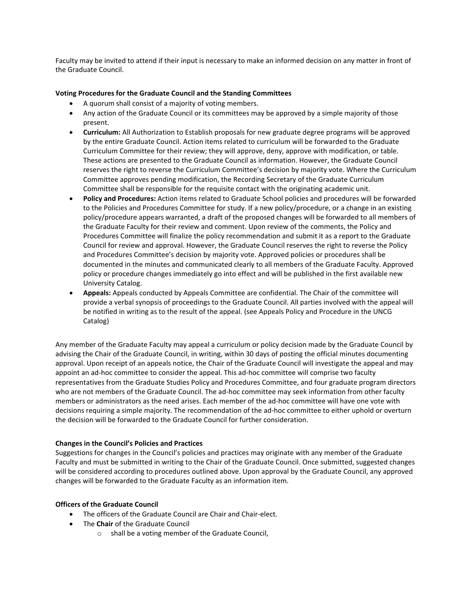Faculty may be invited to attend if their input is necessary to make an informed decision on any matter in front of the Graduate Council.

## **Voting Procedures for the Graduate Council and the Standing Committees**

- A quorum shall consist of a majority of voting members.
- Any action of the Graduate Council or its committees may be approved by a simple majority of those present.
- **Curriculum:** All Authorization to Establish proposals for new graduate degree programs will be approved by the entire Graduate Council. Action items related to curriculum will be forwarded to the Graduate Curriculum Committee for their review; they will approve, deny, approve with modification, or table. These actions are presented to the Graduate Council as information. However, the Graduate Council reserves the right to reverse the Curriculum Committee's decision by majority vote. Where the Curriculum Committee approves pending modification, the Recording Secretary of the Graduate Curriculum Committee shall be responsible for the requisite contact with the originating academic unit.
- **Policy and Procedures:** Action items related to Graduate School policies and procedures will be forwarded to the Policies and Procedures Committee for study. If a new policy/procedure, or a change in an existing policy/procedure appears warranted, a draft of the proposed changes will be forwarded to all members of the Graduate Faculty for their review and comment. Upon review of the comments, the Policy and Procedures Committee will finalize the policy recommendation and submit it as a report to the Graduate Council for review and approval. However, the Graduate Council reserves the right to reverse the Policy and Procedures Committee's decision by majority vote. Approved policies or procedures shall be documented in the minutes and communicated clearly to all members of the Graduate Faculty. Approved policy or procedure changes immediately go into effect and will be published in the first available new University Catalog.
- **Appeals:** Appeals conducted by Appeals Committee are confidential. The Chair of the committee will provide a verbal synopsis of proceedings to the Graduate Council. All parties involved with the appeal will be notified in writing as to the result of the appeal. (see Appeals Policy and Procedure in the UNCG Catalog)

Any member of the Graduate Faculty may appeal a curriculum or policy decision made by the Graduate Council by advising the Chair of the Graduate Council, in writing, within 30 days of posting the official minutes documenting approval. Upon receipt of an appeals notice, the Chair of the Graduate Council will investigate the appeal and may appoint an ad-hoc committee to consider the appeal. This ad-hoc committee will comprise two faculty representatives from the Graduate Studies Policy and Procedures Committee, and four graduate program directors who are not members of the Graduate Council. The ad-hoc committee may seek information from other faculty members or administrators as the need arises. Each member of the ad-hoc committee will have one vote with decisions requiring a simple majority. The recommendation of the ad-hoc committee to either uphold or overturn the decision will be forwarded to the Graduate Council for further consideration.

### **Changes in the Council's Policies and Practices**

Suggestions for changes in the Council's policies and practices may originate with any member of the Graduate Faculty and must be submitted in writing to the Chair of the Graduate Council. Once submitted, suggested changes will be considered according to procedures outlined above. Upon approval by the Graduate Council, any approved changes will be forwarded to the Graduate Faculty as an information item.

# **Officers of the Graduate Council**

- The officers of the Graduate Council are Chair and Chair-elect.
- The **Chair** of the Graduate Council
	- o shall be a voting member of the Graduate Council,